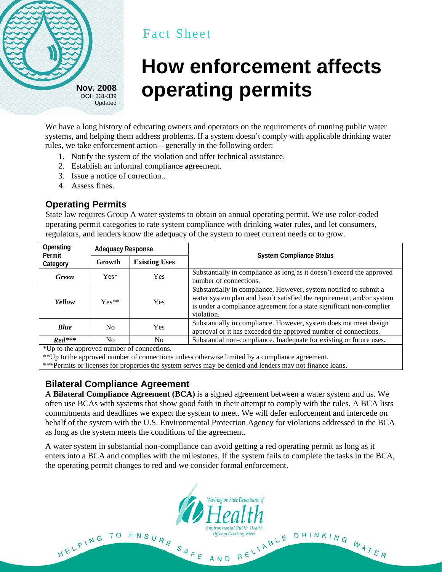

## Fact Sheet

# **How enforcement affects operating permits Nov. <sup>2008</sup>**

We have a long history of educating owners and operators on the requirements of running public water systems, and helping them address problems. If a system doesn't comply with applicable drinking water rules, we take enforcement action—generally in the following order:

- 1. Notify the system of the violation and offer technical assistance.
- 2. Establish an informal compliance agreement.
- 3. Issue a notice of correction..
- 4. Assess fines.

#### **Operating Permits**

State law requires Group A water systems to obtain an annual operating permit. We use color-coded operating permit categories to rate system compliance with drinking water rules, and let consumers, regulators, and lenders know the adequacy of the system to meet current needs or to grow.

| Operating<br>Permit<br>Category | <b>Adequacy Response</b> |                      |                                                                                                                                                                                                                                  |  |  |
|---------------------------------|--------------------------|----------------------|----------------------------------------------------------------------------------------------------------------------------------------------------------------------------------------------------------------------------------|--|--|
|                                 | Growth                   | <b>Existing Uses</b> | <b>System Compliance Status</b>                                                                                                                                                                                                  |  |  |
| <b>Green</b>                    | $Yes*$                   | <b>Yes</b>           | Substantially in compliance as long as it doesn't exceed the approved<br>number of connections.                                                                                                                                  |  |  |
| Yellow                          | $Yes**$                  | <b>Yes</b>           | Substantially in compliance. However, system notified to submit a<br>water system plan and hasn't satisfied the requirement; and/or system<br>is under a compliance agreement for a state significant non-complier<br>violation. |  |  |
| <b>Blue</b>                     | N <sub>0</sub>           | <b>Yes</b>           | Substantially in compliance. However, system does not meet design<br>approval or it has exceeded the approved number of connections.                                                                                             |  |  |
| $Red***$                        | N <sub>0</sub>           | N <sub>0</sub>       | Substantial non-compliance. Inadequate for existing or future uses.                                                                                                                                                              |  |  |

\*Up to the approved number of connections.

\*\*Up to the approved number of connections unless otherwise limited by a compliance agreement.

\*\*\*Permits or licenses for properties the system serves may be denied and lenders may not finance loans.

### **Bilateral Compliance Agreement**

A **Bilateral Compliance Agreement (BCA)** is a signed agreement between a water system and us. We often use BCAs with systems that show good faith in their attempt to comply with the rules. A BCA lists commitments and deadlines we expect the system to meet. We will defer enforcement and intercede on behalf of the system with the U.S. Environmental Protection Agency for violations addressed in the BCA as long as the system meets the conditions of the agreement.

A water system in substantial non-compliance can avoid getting a red operating permit as long as it enters into a BCA and complies with the milestones. If the system fails to complete the tasks in the BCA, the operating permit changes to red and we consider formal enforcement.